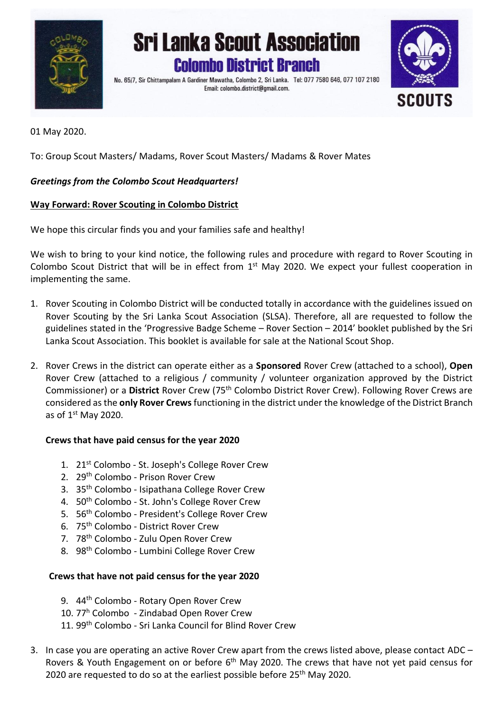

# **Sri Lanka Scout Association Colombo District Branch**

No. 65/7, Sir Chittampalam A Gardiner Mawatha, Colombo 2, Sri Lanka. Tel: 077 7580 646, 077 107 2180 Email: colombo.district@gmail.com.



01 May 2020.

To: Group Scout Masters/ Madams, Rover Scout Masters/ Madams & Rover Mates

# *Greetings from the Colombo Scout Headquarters!*

## **Way Forward: Rover Scouting in Colombo District**

We hope this circular finds you and your families safe and healthy!

We wish to bring to your kind notice, the following rules and procedure with regard to Rover Scouting in Colombo Scout District that will be in effect from 1<sup>st</sup> May 2020. We expect your fullest cooperation in implementing the same.

- 1. Rover Scouting in Colombo District will be conducted totally in accordance with the guidelines issued on Rover Scouting by the Sri Lanka Scout Association (SLSA). Therefore, all are requested to follow the guidelines stated in the 'Progressive Badge Scheme – Rover Section – 2014' booklet published by the Sri Lanka Scout Association. This booklet is available for sale at the National Scout Shop.
- 2. Rover Crews in the district can operate either as a **Sponsored** Rover Crew (attached to a school), **Open** Rover Crew (attached to a religious / community / volunteer organization approved by the District Commissioner) or a **District** Rover Crew (75th Colombo District Rover Crew). Following Rover Crews are considered as the **only Rover Crews**functioning in the district under the knowledge of the District Branch as of 1<sup>st</sup> May 2020.

## **Crews that have paid census for the year 2020**

- 1. 21<sup>st</sup> Colombo St. Joseph's College Rover Crew
- 2. 29th Colombo Prison Rover Crew
- 3. 35th Colombo Isipathana College Rover Crew
- 4. 50<sup>th</sup> Colombo St. John's College Rover Crew
- 5. 56th Colombo President's College Rover Crew
- 6. 75th Colombo District Rover Crew
- 7. 78th Colombo Zulu Open Rover Crew
- 8. 98<sup>th</sup> Colombo Lumbini College Rover Crew

## **Crews that have not paid census for the year 2020**

- 9. 44<sup>th</sup> Colombo Rotary Open Rover Crew
- 10. 77<sup>h</sup> Colombo Zindabad Open Rover Crew
- 11. 99th Colombo Sri Lanka Council for Blind Rover Crew
- 3. In case you are operating an active Rover Crew apart from the crews listed above, please contact ADC Rovers & Youth Engagement on or before 6<sup>th</sup> May 2020. The crews that have not yet paid census for 2020 are requested to do so at the earliest possible before 25<sup>th</sup> May 2020.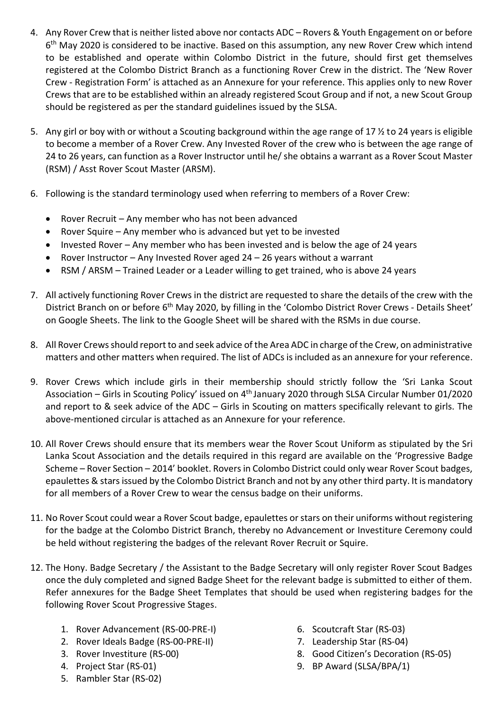- 4. Any Rover Crew that is neither listed above nor contacts ADC Rovers & Youth Engagement on or before 6<sup>th</sup> May 2020 is considered to be inactive. Based on this assumption, any new Rover Crew which intend to be established and operate within Colombo District in the future, should first get themselves registered at the Colombo District Branch as a functioning Rover Crew in the district. The 'New Rover Crew - Registration Form' is attached as an Annexure for your reference. This applies only to new Rover Crews that are to be established within an already registered Scout Group and if not, a new Scout Group should be registered as per the standard guidelines issued by the SLSA.
- 5. Any girl or boy with or without a Scouting background within the age range of 17 ½ to 24 years is eligible to become a member of a Rover Crew. Any Invested Rover of the crew who is between the age range of 24 to 26 years, can function as a Rover Instructor until he/ she obtains a warrant as a Rover Scout Master (RSM) / Asst Rover Scout Master (ARSM).
- 6. Following is the standard terminology used when referring to members of a Rover Crew:
	- Rover Recruit Any member who has not been advanced
	- Rover Squire Any member who is advanced but yet to be invested
	- Invested Rover Any member who has been invested and is below the age of 24 years
	- Rover Instructor Any Invested Rover aged 24 26 years without a warrant
	- RSM / ARSM Trained Leader or a Leader willing to get trained, who is above 24 years
- 7. All actively functioning Rover Crews in the district are requested to share the details of the crew with the District Branch on or before 6<sup>th</sup> May 2020, by filling in the 'Colombo District Rover Crews - Details Sheet' on Google Sheets. The link to the Google Sheet will be shared with the RSMs in due course.
- 8. All Rover Crews should report to and seek advice of the Area ADC in charge of the Crew, on administrative matters and other matters when required. The list of ADCs is included as an annexure for your reference.
- 9. Rover Crews which include girls in their membership should strictly follow the 'Sri Lanka Scout Association – Girls in Scouting Policy' issued on 4<sup>th</sup> January 2020 through SLSA Circular Number 01/2020 and report to & seek advice of the ADC – Girls in Scouting on matters specifically relevant to girls. The above-mentioned circular is attached as an Annexure for your reference.
- 10. All Rover Crews should ensure that its members wear the Rover Scout Uniform as stipulated by the Sri Lanka Scout Association and the details required in this regard are available on the 'Progressive Badge Scheme – Rover Section – 2014' booklet. Rovers in Colombo District could only wear Rover Scout badges, epaulettes & stars issued by the Colombo District Branch and not by any other third party. It is mandatory for all members of a Rover Crew to wear the census badge on their uniforms.
- 11. No Rover Scout could wear a Rover Scout badge, epaulettes or stars on their uniforms without registering for the badge at the Colombo District Branch, thereby no Advancement or Investiture Ceremony could be held without registering the badges of the relevant Rover Recruit or Squire.
- 12. The Hony. Badge Secretary / the Assistant to the Badge Secretary will only register Rover Scout Badges once the duly completed and signed Badge Sheet for the relevant badge is submitted to either of them. Refer annexures for the Badge Sheet Templates that should be used when registering badges for the following Rover Scout Progressive Stages.
	- 1. Rover Advancement (RS-00-PRE-I)
	- 2. Rover Ideals Badge (RS-00-PRE-II)
	- 3. Rover Investiture (RS-00)
	- 4. Project Star (RS-01)
	- 5. Rambler Star (RS-02)
- 6. Scoutcraft Star (RS-03)
- 7. Leadership Star (RS-04)
- 8. Good Citizen's Decoration (RS-05)
- 9. BP Award (SLSA/BPA/1)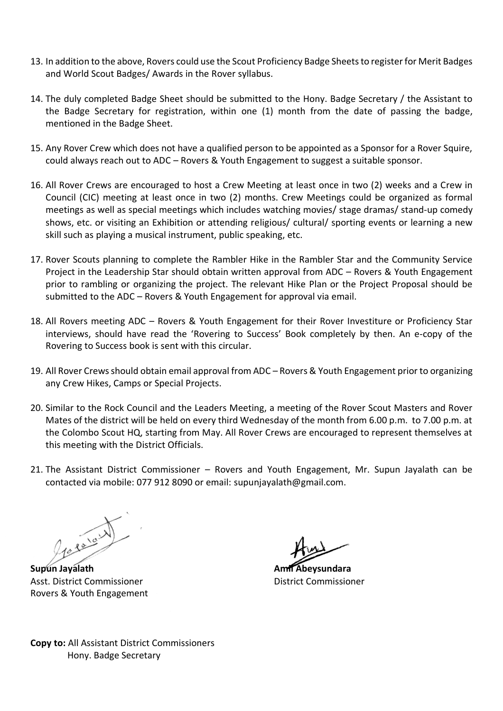- 13. In addition to the above, Rovers could use the Scout Proficiency Badge Sheets to register for Merit Badges and World Scout Badges/ Awards in the Rover syllabus.
- 14. The duly completed Badge Sheet should be submitted to the Hony. Badge Secretary / the Assistant to the Badge Secretary for registration, within one (1) month from the date of passing the badge, mentioned in the Badge Sheet.
- 15. Any Rover Crew which does not have a qualified person to be appointed as a Sponsor for a Rover Squire, could always reach out to ADC – Rovers & Youth Engagement to suggest a suitable sponsor.
- 16. All Rover Crews are encouraged to host a Crew Meeting at least once in two (2) weeks and a Crew in Council (CIC) meeting at least once in two (2) months. Crew Meetings could be organized as formal meetings as well as special meetings which includes watching movies/ stage dramas/ stand-up comedy shows, etc. or visiting an Exhibition or attending religious/ cultural/ sporting events or learning a new skill such as playing a musical instrument, public speaking, etc.
- 17. Rover Scouts planning to complete the Rambler Hike in the Rambler Star and the Community Service Project in the Leadership Star should obtain written approval from ADC – Rovers & Youth Engagement prior to rambling or organizing the project. The relevant Hike Plan or the Project Proposal should be submitted to the ADC – Rovers & Youth Engagement for approval via email.
- 18. All Rovers meeting ADC Rovers & Youth Engagement for their Rover Investiture or Proficiency Star interviews, should have read the 'Rovering to Success' Book completely by then. An e-copy of the Rovering to Success book is sent with this circular.
- 19. All Rover Crews should obtain email approval from ADC Rovers & Youth Engagement prior to organizing any Crew Hikes, Camps or Special Projects.
- 20. Similar to the Rock Council and the Leaders Meeting, a meeting of the Rover Scout Masters and Rover Mates of the district will be held on every third Wednesday of the month from 6.00 p.m. to 7.00 p.m. at the Colombo Scout HQ, starting from May. All Rover Crews are encouraged to represent themselves at this meeting with the District Officials.
- 21. The Assistant District Commissioner Rovers and Youth Engagement, Mr. Supun Jayalath can be contacted via mobile: 077 912 8090 or email: supunjayalath@gmail.com.

Jessie W

**Supun Jayalath Amil Abeysundara** Asst. District Commissioner District Commissioner Rovers & Youth Engagement

**Copy to:** All Assistant District Commissioners Hony. Badge Secretary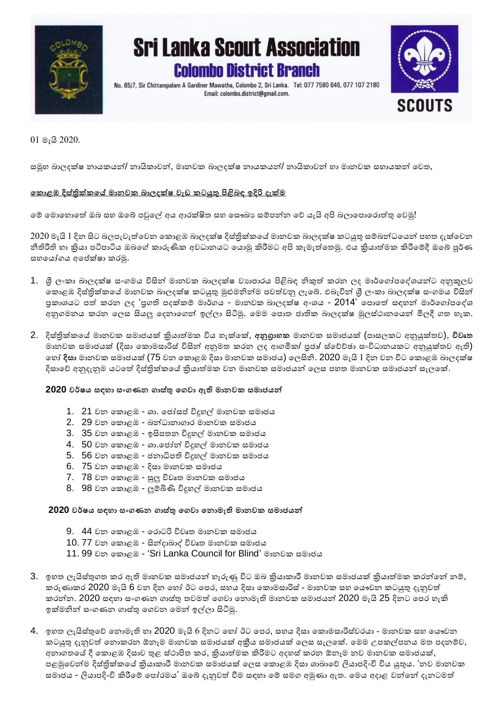

# **Sri Lanka Scout Association Colombo District Branch**

No. 65/7, Sir Chittampalam A Gardiner Mawatha, Colombo 2, Sri Lanka. Tel: 077 7580 646, 077 107 2180 Email: colombo.district@gmail.com.



01 මැයි 2020.

සමූහ බාලදක්ෂ නායකයන්/ නායිකාවන්, මානවක බාලදක්ෂ නායකයන්/ නායිකාවන් හා මානවක සහායකන් වවත,

#### **ක ොළඹ දිස්ත්රික් කේ මොනව බොලදක්ෂ වැඩ ටයුතු පිළිබඳ ඉදිරි දැක්ම**

වේ වමාවහාවේ ඔබ සහ ඔවේ පවුවේ අය ආරක්ිත සහ වසෞඛ්ය සේපන්න වේ යැයි අපි බලාවපාවරාේු වවමු!

2020 මැයි 1 දින සිට බලපැවැත්වෙන කොළඹ බාලදක්ෂ දිස්තික්කයේ මානවක බාලදක්ෂ කටයුතු සම්බන්ධයෙන් පහත දැක්වෙන නීතිරීති හා ක්රියා පටිපාටිය ඔබවේ කාරුණික අවධානයට වයාමු කිරීමට අපි කැමැේවතමු. එය ක්රියාේමක කිරීවේදී ඔවේ පූර්ණ සහවයෝගය අවේක්ෂා කරමු.

- 1. ශී ලංකා බාලදක්ෂ සංගමය විසින් මානවක බාලදක්ෂ වාහපාරය පිළිබඳ නිකුත් කරන ලද මාර්ගෝපදේශයන්ට අනුකූලව වකාළඹ දිසරික්කවේ මානවක බාලදක්ෂ කටයුු මුළුමනින්ම පවේවනු ලැවේ. එබැවින් ශ්රී ලංකා බාලදක්ෂ සංගමය විසින් පුකාශයට පත් කරන ලද 'පුගති පදක්කම් මාර්ගය - මානවක බාලදක්ෂ අංශය - 2014' පොතේ සඳහන් මාර්ගෝපදේශ අනුගමනය කරන ලෙස සියලු දෙනාගෙන් ඉල්ලා සිටිමු. මෙම පොත ජාතික බාලදක්ෂ මූලස්ථානයෙන් මිලදී ගත හැක.
- 2. දිසරික්කවේ මානවක සමාජයක් ක්රියාේමක විය හැක්වක්, **අනුග්රොහ** මානවක සමාජයක් (පාසලකට අනුයුක්තව), **විවෘත** මානවක සමාජයක් (දිසා වකාමසාරිසර විසින් අනුමත කරන ලද ආගමික/ ප්රජා/ සරවේච්ඡා සංවිධානයකට අනුයුක්තව ඇති) වහෝ **දිස්ත්ො** මානවක සමාජයක් (75 වන වකාළඹ දිසා මානවක සමාජය) වලසිනි. 2020 මැයි 1 දින වන විට වකාළඹ බාලදක්ෂ දිසාවේ අනුදැනුම යටතේ දිස්තික්කයේ කියාත්මක වන මානවක සමාජයන් ලෙස පහත මානවක සමාජයන් සැලකේ.

#### **2020 වර්ෂය ස්ත්ඳහො ස්ත්ංගණන ගොස්ත්රතු කගවො ඇති මොනව ස්ත්මොජයන්**

- 1. 21 වන වකාළඹ ශා. වජෝසේ විදුහේ මානවක සමාජය
- 2. 29 වන වකාළඹ බන්ධානාගාර මානවක සමාජය
- 3. 35 වන වකාළඹ ඉසිපතන විදුහේ මානවක සමාජය
- 4. 50 වන වකාළඹ ශා.වජෝන් විදුහේ මානවක සමාජය
- 5. 56 වන වකාළඹ ජනාධිපති විදුහේ මානවක සමාජය
- 6. 75 වන වකාළඹ දිසා මානවක සමාජය
- 7. 78 වන වකාළඹ සුලු විවෘත මානවක සමාජය
- 8. 98 වන වකාළඹ ලුේිණි විදුහේ මානවක සමාජය

#### **2020 වර්ෂය ස්ත්ඳහො ස්ත්ංගණන ගොස්ත්රතු කගවො කනොමැති මොනව ස්ත්මොජයන්**

- 9. 44 වන වකාළඹ වරාටරි විවෘත මානවක සමාජය
- 10. 77 වන වකාළඹ සින්දාබාේ විවෘත මානවක සමාජය
- 11. 99 වන වකාළඹ 'Sri Lanka Council for Blind' මානවක සමාජය
- 3. ඉහත ලැයිස්තුගත කර ඇති මානවක සමාජයන් හැරුණු විට ඔබ කිුයාකාරී මානවක සමාජයක් කිුයාත්මක කරන්නේ නම්, කරුණාකර 2020 මැයි 6 වන දින හෝ ඊට පෙර, සහය දිසා කොමසාරිස් - මානවක සහ යෞවන කටයුතු දැනුවත් කරන්න. 2020 සඳහා සංගණන ගාසරු තවමේ වගවා වනාමැති මානවක සමාජයන් 2020 මැයි 25 දිනට වපර හැකි ඉක්මනින් සංගණන ගාසරු වගවන වමන් ඉේලා සිටිමු.
- 4. ඉහත ලැයිස්තුවේ තොමැති හා 2020 මැයි 6 දිනට හෝ ඊට පෙර, සහය දිසා කොමසාරිස්වරයා මානවක සහ යෞවන කටයුතු දැනුවත් නොකරන ඕනෑම මානවක සමාජයක් අකීය සමාජයක් ලෙස සැලකේ. මෙම උපකල්පනය මත පදනම්ව, අනාගතයේ දී කොළඹ දිසාව තුළ ස්ථාපිත කර, කියාත්මක කිරීමට අදහස් කරන ඕනෑම නව මානවක සමාජයක්, පළමුවෙන්ම දිස්තිුක්කයේ කිුයාකාරී මානවක සමාජයක් ලෙස කොළඹ දිසා ශාඛාවේ ලියාපදිංචි විය යුතුය. 'නව මානවක සමාජය - ලියාපදිංචි කිරීමේ පෝරමය' ඔබේ දැනුවත් වීම සඳහා මේ සමග අමුණා ඇත. මෙය අදාළ වන්නේ දැනටමත්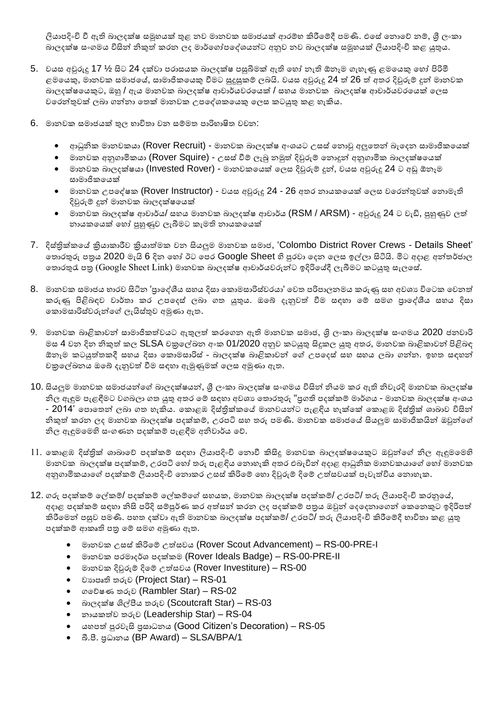ලියාපදිංචි වී ඇති බාලදක්ෂ සමූහයක් තුළ නව මානවක සමාජයක් ආරම්භ කිරීමේදී පමණි. එසේ තොවේ නම්, ශූී ලංකා බාලදක්ෂ සංගමය විසින් නිකුත් කරන ලද මාර්ගෝපදේශයන්ට අනුව නව බාලදක්ෂ සමූහයක් ලියාපදිංචි කළ යුතුය.

- 5. වයස අවුරුදු 17 ½ සිට 24 දක්වා පරාසයක බාලදක්ෂ පසුිමක් ඇති වහෝ නැති ඕනෑම ගැහැණු ළමවයකු වහෝ පිරිමි ළමයෙකු, මානවක සමාජයේ, සාමාජිකයෙකු වීමට සුදුසුකම් ලබයි. වයස අවුරුදු 24 ත් 26 ත් අතර දිවුරුම් දුන් මානවක බාලදක්ෂවයකුට, ඔහු / ඇය මානවක බාලදක්ෂ ආචාර්යවරවයක් / සහය මානවක බාලදක්ෂ ආචාර්යවරවයක් වලස වවරන්ුවක් ලබා ගන්නා වතක් මානවක උපවේශකවයකු වලස කටයුු කළ හැකිය.
- 6. මානවක සමාජයක් ුල භාවිතා වන සේමත පාරිභාිත වචන:
	- $\bullet$  ආධුනික මානවකයා (Rover Recruit) මානවක බාලදක්ෂ අංශයට උසස් නොවු අලුතෙන් බැදෙන සාමාජිකයෙක්
	- මානවක අනුගාමිකයා (Rover Squire) උසස් වීම් ලැබූ නමුත් දිවුරුම් නොදුන් අනුගාමික බාලදක්ෂයෙක්
	- මානවක බාලදක්ෂයා (Invested Rover) මානවකයෙක් ලෙස දිවුරුම් දූන්, වයස අවුරුදු 24 ට අඩු ඕනෑම සාමාජිකවයක්
	- මානවක උපදේෂක (Rover Instructor) වයස අවුරුදු 24 26 අතර නායකයෙක් ලෙස වරෙන්තුවක් නොමැති දිවුරුේ දුන් මානවක බාලදක්ෂවයක්
	- $\bullet$  මානවක බාලදක්ෂ ආචාර්ය/ සහය මානවක බාලදක්ෂ ආචාර්ය ( $\mathsf{RSM}/\mathsf{ARSM}$ ) අවුරුදු 24 ට වැඩි, පුහුණුව ලත් නායකවයක් වහෝ පුහුණුව ලැබීමට කැමති නායකවයක්
- 7. දිස්තික්කයේ කියාකාරීව කියාත්මක වන සියලුම මානවක සමාජ, 'Colombo District Rover Crews Details Sheet' නොරතුරු පතුය 2020 මැයි 6 දින හෝ ඊට පෙර Google Sheet හි පුරවා දෙන ලෙස ඉල්ලා සිටියි. මිට අදාළ අන්තර්ජාල නොරතුරැ පතු (Google Sheet Link) මානවක බාලදක්ෂ ආචාර්යවරුන්ට ඉදිරියේදී ලැබීමට කටයුතු සැලසේ.
- 8. මානවක සමාජය භාරව සිටින 'පුාදේශීය සහය දිසා කොමසාරිස්වරයා' වෙත පරිපාලනමය කරුණු සහ අවශා විටෙක වෙනත් කරුණු පිළිබඳව වාර්තා කර උපදෙස් ලබා ගත යුතුය. ඔබේ දැනුවත් වීම සඳහා මේ සමග පුාදේශීය සහය දිසා වකාමසාරිසරවරුන්වේ ලැයිසරුව අමුණා ඇත.
- $9.$  මානවක බාළිකාවන් සාමාජිකත්වයට ඇතුලත් කරගෙන ඇති මානවක සමාජ, ශිු ලංකා බාලදක්ෂ සංගමය 2020 ජනවාරි මස 4 වන දින නිකුත් කල SLSA චකුලේඛන අංක 01/2020 අනුව කටයුතු සිදුකල යුතු අතර, මානවක බාළිකාවන් පිළිබඳ ඕනෑම කටයුත්තකදී සහය දිසා කොමසාරිස් - බාලදක්ෂ බාළිකාවන් ගේ උපදෙස් සහ සහය ලබා ගන්න. ඉහත සඳහන් චක්රවේඛ්නය ඔවේ දැනුවේ වීම සඳහා ඇමුණුමක් වලස අමුණා ඇත.
- 10. සියලුම මානවක සමාජයන්වේ බාලදක්ෂයන්, ශ්රී ලංකා බාලදක්ෂ සංගමය විසින් නියම කර ඇති නිවැරදි මානවක බාලදක්ෂ නිල ඇඳුම පැළඳීමට වගබලා ගත යුතු අතර මේ සඳහා අවශා තොරතුරු "පුගති පදක්කම් මාර්ගය - මානවක බාලදක්ෂ අංශය - 2014' පොතෙන් ලබා ගත හැකිය. කොළඹ දිස්තික්කයේ මානවයන්ට පැළඳිය හැක්කේ කොළඹ දිස්තික් ශාඛාව විසින් නිකුත් කරන ලද මානවක බාලදක්ෂ පදක්කම්, උරපටි සහ තරු පමණි. මානවක සමාජයේ සියලුම සාමාජිකයින් ඔවුන්ගේ නිල ඇඳුමවමහි සංගණන පදක්කේ පැළඳීම අනිවාර්ය වේ.
- $11.$  කොළඹ දිස්තික් ශාඛාවේ පදක්කම් සඳහා ලියාපදිංචි නොවී කිසිදූ මානවක බාලදක්ෂයෙකුට ඔවුන්ගේ නිල ඇඳුමමෙහි මානවක බාලදක්ෂ පදක්කේ, උරපටි වහෝ තරු පැළඳිය වනාහැකි අතර එබැවින් අදාළ ආධුනික මානවකයාවේ වහෝ මානවක අනුගාමිකයාගේ පදක්කම් ලියාපදිංචි නොකර උසස් කිරිමේ හො දිවුරුම් දිමේ උත්සවයක් පැවැත්විය නොහැක.
- 12. ගරු පදක්කම් ලේකම්/ පදක්කම් ලේකම්ගේ සහයක, මානවක බාලදක්ෂ පදක්කම්/ උරපටි/ තරු ලියාපදිංචි කරනුයේ, අදාළ පදක්කම් සඳහා නිසි පරිදි සම්පූර්ණ කර අත්සන් කරන ලද පදක්කම් පතුය ඔවුන් ලදදෙනාගෙන් කෙනෙකුට ඉදිරිපත් කිරීමෙන් පසුව පමණි. පහත දක්වා ඇති මානවක බාලදක්ෂ පදක්කම්/ උරපටි/ තරු ලියාපදිංචි කිරීමේදී භාවිතා කළ යුතු පදක්කම් ආකෘති පතු මේ සමග අමුණා ඇත.
	- මානවක උසසරකිරිවේ උේසවය (Rover Scout Advancement) RS-00-PRE-I
	- මානවක පරමාදර්ශ පදක්කම (Rover Ideals Badge) RS-00-PRE-II
	- $\bullet$  මානවක දිවුරුම් දිමේ උත්සවය (Rover Investiture) RS-00
	- වයාපෘති තරුව (Project Star) RS-01
	- ගවේෂණ තරුව (Rambler Star) RS-02
	- $\bullet$  බාලදක්ෂ ශිල්පීය තරුව (Scoutcraft Star) RS-03
	- නායකේව තරුව (Leadership Star) RS-04
	- යහපේ පුරවැසි ප්රසාධනය (Good Citizen's Decoration) RS-05
	- බී.ී. ප්රධානය (BP Award) SLSA/BPA/1